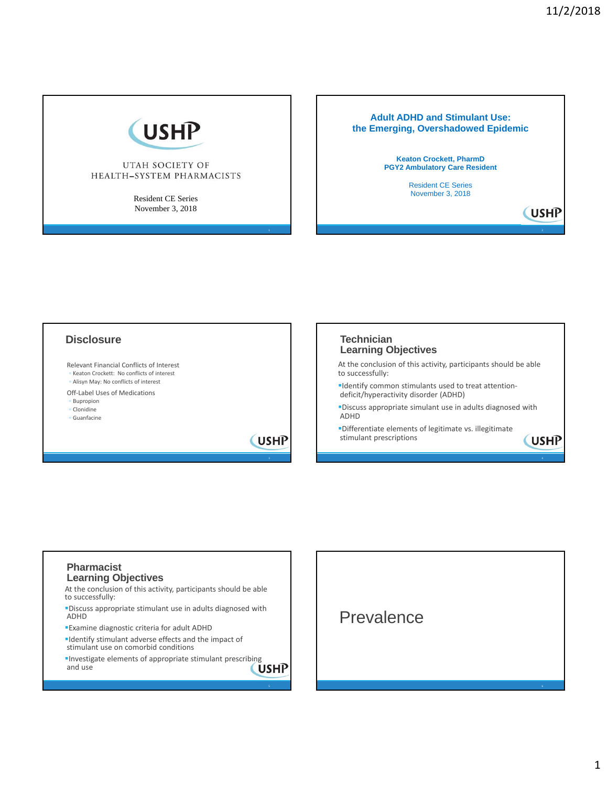**USHP** 

**USHP** 



### UTAH SOCIETY OF HEALTH-SYSTEM PHARMACISTS

Resident CE Series November 3, 2018

### **Adult ADHD and Stimulant Use: the Emerging, Overshadowed Epidemic**

**Keaton Crockett, PharmD PGY2 Ambulatory Care Resident** Resident CE Series

November 3, 2018

# **Disclosure**

Relevant Financial Conflicts of Interest ◦ Keaton Crockett: No conflicts of interest ◦ Alisyn May: No conflicts of interest

- Off‐Label Uses of Medications
- Bupropion
- Clonidine ◦ Guanfacine
- 

**USHP** 

### **Technician Learning Objectives**

At the conclusion of this activity, participants should be able to successfully:

- Identify common stimulants used to treat attention‐ deficit/hyperactivity disorder (ADHD)
- Discuss appropriate simulant use in adults diagnosed with ADHD
- Differentiate elements of legitimate vs. illegitimate stimulant prescriptions

### **Pharmacist Learning Objectives**

At the conclusion of this activity, participants should be able to successfully:

Discuss appropriate stimulant use in adults diagnosed with ADHD

Examine diagnostic criteria for adult ADHD

Identify stimulant adverse effects and the impact of stimulant use on comorbid conditions

**Investigate elements of appropriate stimulant prescribing**<br>and use  $\sqrt{U \cdot M}$ and use

5 februaries de la construction de la construction de la construction de la construction de la construction de **Prevalence**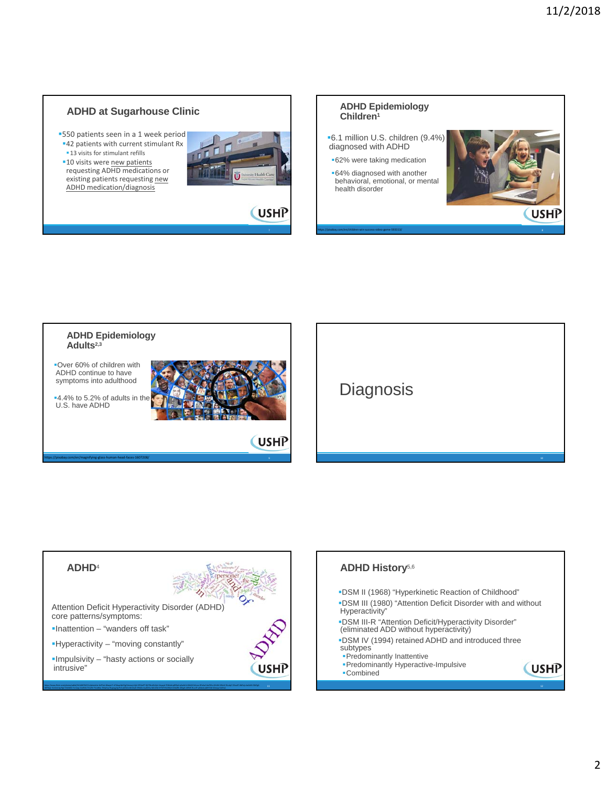### **ADHD at Sugarhouse Clinic**

**-550 patients seen in a 1 week period 42 patients with current stimulant Rx** 

**13 visits for stimulant refills** 

**10 visits were new patients** requesting ADHD medications or existing patients requesting new ADHD medication/diagnosis













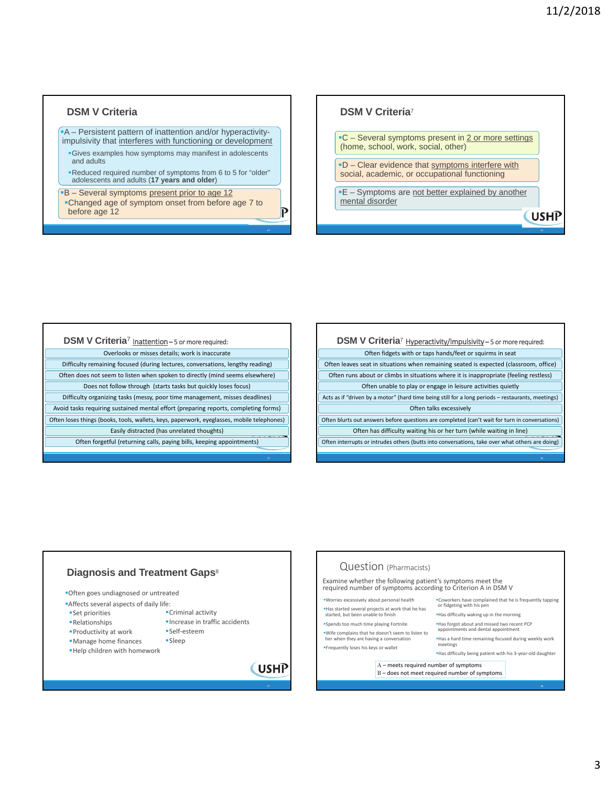**USHP** 

### **DSM V Criteria**

#### A – Persistent pattern of inattention and/or hyperactivityimpulsivity that interferes with functioning or development

Gives examples how symptoms may manifest in adolescents and adults

Reduced required number of symptoms from 6 to 5 for "older" adolescents and adults (**17 years and older**)

**B** – Several symptoms present prior to age 12 Changed age of symptom onset from before age 7 to before age 12

### **DSM V Criteria**<sup>7</sup>

**C** – Several symptoms present in 2 or more settings (home, school, work, social, other)

-D - Clear evidence that symptoms interfere with social, academic, or occupational functioning

**E** – Symptoms are not better explained by another mental disorder

### **DSM V Criteria**<sup>7</sup> Inattention – 5 or more required:

Overlooks or misses details; work is inaccurate Difficulty remaining focused (during lectures, conversations, lengthy reading) Often does not seem to listen when spoken to directly (mind seems elsewhere) Does not follow through (starts tasks but quickly loses focus) Difficulty organizing tasks (messy, poor time management, misses deadlines) Avoid tasks requiring sustained mental effort (preparing reports, completing forms) Often loses things (books, tools, wallets, keys, paperwork, eyeglasses, mobile telephones) Easily distracted (has unrelated thoughts) Often forgetful (returning calls, paying bills, keeping appointments)

| DSM V Criteria <sup>7</sup> Hyperactivity/Impulsivity-5 or more required:                         |
|---------------------------------------------------------------------------------------------------|
| Often fidgets with or taps hands/feet or squirms in seat                                          |
| Often leaves seat in situations when remaining seated is expected (classroom, office)             |
| Often runs about or climbs in situations where it is inappropriate (feeling restless)             |
| Often unable to play or engage in leisure activities quietly                                      |
| Acts as if "driven by a motor" (hard time being still for a long periods – restaurants, meetings) |
| Often talks excessively                                                                           |
| Often blurts out answers before questions are completed (can't wait for turn in conversations)    |
| Often has difficulty waiting his or her turn (while waiting in line)                              |
| Often interrupts or intrudes others (butts into conversations, take over what others are doing)   |
|                                                                                                   |



 $\mathsf{P}$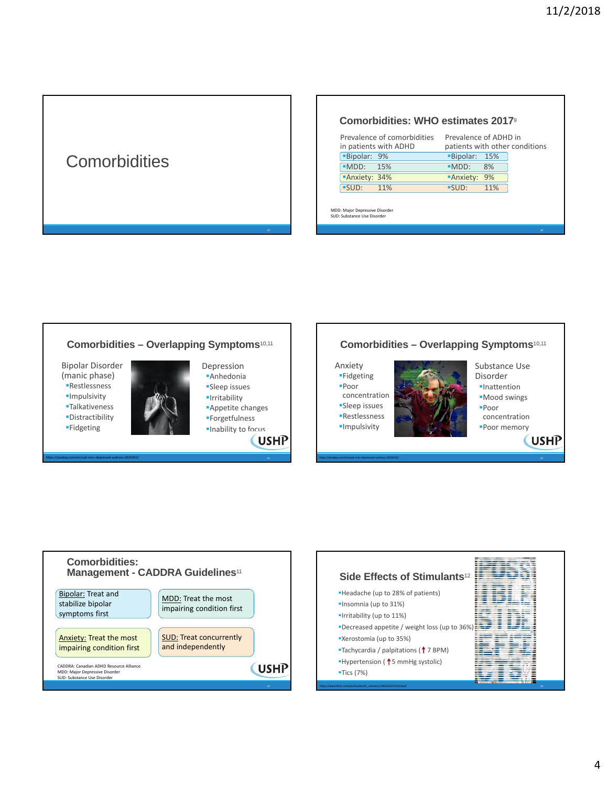# **Comorbidities**

### **Comorbidities: WHO estimates 2017**<sup>9</sup>

| <b>Bipolar: 9%</b><br>Bipolar: 15%<br><b>MDD:</b> 15%<br>8%<br>$-MDD:$<br>Anxiety: 34%<br><b>Anxiety: 9%</b> | Prevalence of comorbidities<br>in patients with ADHD | Prevalence of ADHD in<br>patients with other conditions |
|--------------------------------------------------------------------------------------------------------------|------------------------------------------------------|---------------------------------------------------------|
|                                                                                                              |                                                      |                                                         |
|                                                                                                              |                                                      |                                                         |
|                                                                                                              |                                                      |                                                         |
|                                                                                                              | $\blacksquare$ SUD: 11%                              | $-SUD:$<br>11%                                          |

MDD: Major Depressive Disorder SUD: Substance Use Disorder





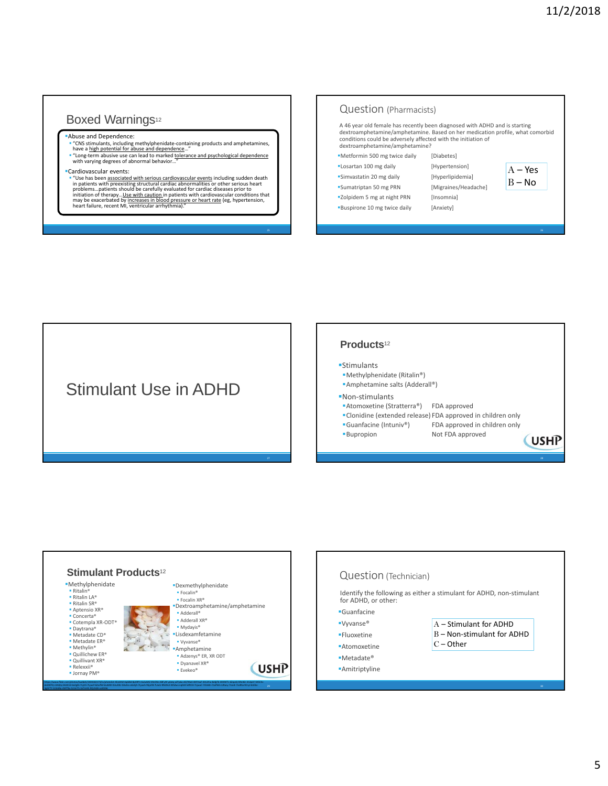### Boxed Warnings<sup>12</sup>

### Abuse and Dependence:

- "CNS stimulants, including methylphenidate-containing products and amphetamines,<br>have a high potential for abuse and dependence…"<br>"Long-term abusive use can lead to marked tolerance and psychological dependence
- "Long-term abusive use can lead to marked tolerance<br>with varying degrees of abnormal behavior…"

#### Cardiovascular events:

artowardschaft events:<br>
"Use has been associated with serious cardiovascular events including sudden death<br>
in patients with preakisting structural cardiac abnormalities or other serious heart<br>
problems...patients should

| A 46 year old female has recently been diagnosed with ADHD and is starting<br>dextroamphetamine/amphetamine. Based on her medication profile, what comorbid<br>conditions could be adversely affected with the initiation of<br>dextroamphetamine/amphetamine? |                      |                       |
|----------------------------------------------------------------------------------------------------------------------------------------------------------------------------------------------------------------------------------------------------------------|----------------------|-----------------------|
| "Metformin 500 mg twice daily                                                                                                                                                                                                                                  | [Diabetes]           |                       |
| "Losartan 100 mg daily                                                                                                                                                                                                                                         | [Hypertension]       |                       |
| "Simvastatin 20 mg daily                                                                                                                                                                                                                                       | [Hyperlipidemia]     | $A - Yes$<br>$B - No$ |
| "Sumatriptan 50 mg PRN                                                                                                                                                                                                                                         | [Migraines/Headache] |                       |
| "Zolpidem 5 mg at night PRN                                                                                                                                                                                                                                    | [Insomnia]           |                       |
| <b>Buspirone 10 mg twice daily</b>                                                                                                                                                                                                                             | [Anxiety]            |                       |
|                                                                                                                                                                                                                                                                |                      |                       |

# Stimulant Use in ADHD

### **Products**<sup>12</sup>

- Stimulants
- Methylphenidate (Ritalin®)
- Amphetamine salts (Adderall®)

### ■Non-stimulants

- ■Atomoxetine (Stratterra®) FDA approved
- Clonidine (extended release) FDA approved in children only FDA approved in children only
- 

Bupropion Not FDA approved

**USHP** 



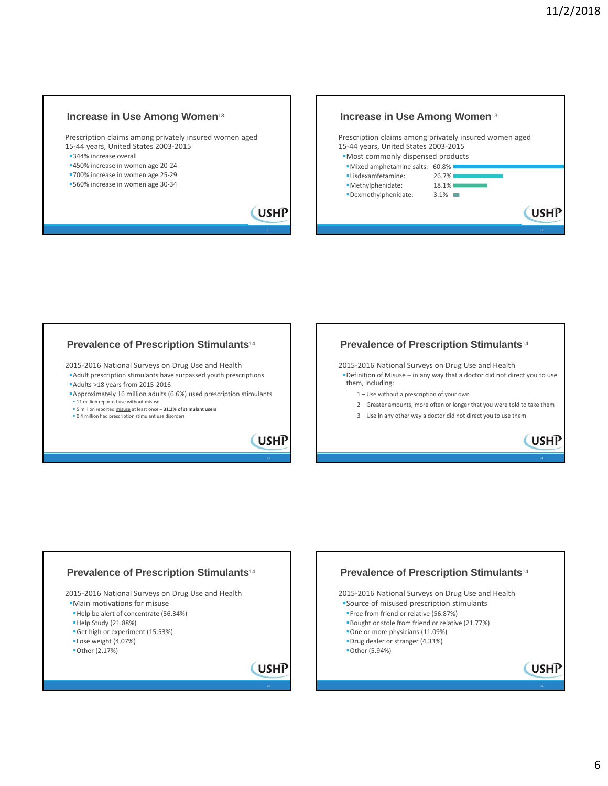### **Increase in Use Among Women**<sup>13</sup>

Prescription claims among privately insured women aged 15‐44 years, United States 2003‐2015

- 344% increase overall
- 450% increase in women age 20‐24
- ■700% increase in women age 25-29 560% increase in women age 30‐34
- 



### **Prevalence of Prescription Stimulants**<sup>14</sup>

2015‐2016 National Surveys on Drug Use and Health Adult prescription stimulants have surpassed youth prescriptions Adults >18 years from 2015‐2016

Approximately 16 million adults (6.6%) used prescription stimulants 11 million reported use without misuse 5 million reported misuse at least once – **31.2% of stimulant users**

0.4 million had prescription stimulant use disorders

**USHP** 

**USHP** 



2015‐2016 National Surveys on Drug Use and Health Definition of Misuse – in any way that a doctor did not direct you to use them, including:

1 – Use without a prescription of your own

2 – Greater amounts, more often or longer that you were told to take them

3 – Use in any other way a doctor did not direct you to use them



### **Prevalence of Prescription Stimulants**<sup>14</sup> 2015‐2016 National Surveys on Drug Use and Health Main motivations for misuse Help be alert of concentrate (56.34%) Help Study (21.88%) Get high or experiment (15.53%) Lose weight (4.07%) Other (2.17%) **USHP**

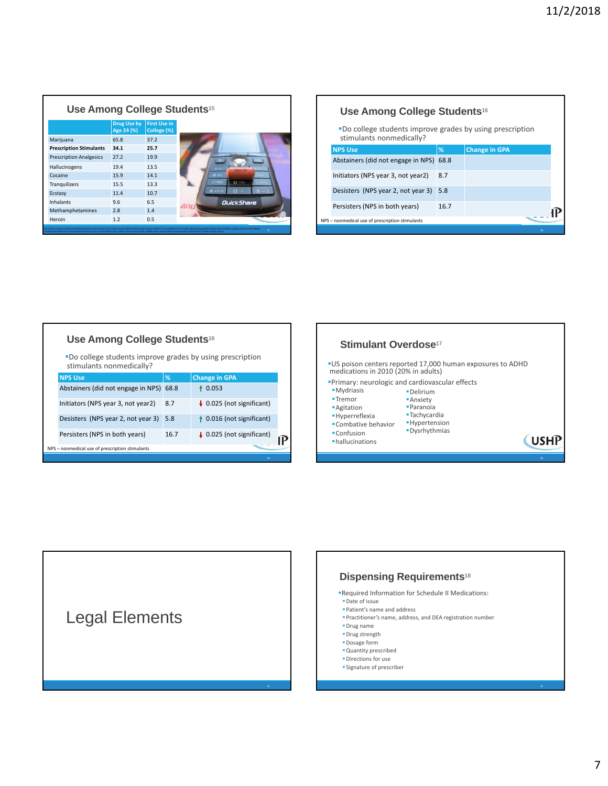| Use Among College Students <sup>15</sup> |                                  |                                    |       |                   |
|------------------------------------------|----------------------------------|------------------------------------|-------|-------------------|
|                                          | <b>Drug Use by</b><br>Age 24 (%) | <b>First Use in</b><br>College (%) |       |                   |
| Marijuana                                | 65.8                             | 37.2                               |       |                   |
| <b>Prescription Stimulants</b>           | 34.1                             | 25.7                               |       |                   |
| <b>Prescription Analgesics</b>           | 27.2                             | 19.9                               |       |                   |
| Hallucinogens                            | 19.4                             | 13.5                               |       |                   |
| Cocaine                                  | 15.9                             | 14.1                               | $A =$ |                   |
| Tranquilizers                            | 15.5                             | 13.3                               |       | B.TUV             |
| Ecstasy                                  | 11.4                             | 10.7                               |       | n                 |
| <b>Inhalants</b>                         | 9.6                              | 6.5                                |       | <b>QuickShare</b> |
| Methamphetamines                         | 2.8                              | 1.4                                |       |                   |
| Heroin                                   | 1.2                              | 0.5                                |       |                   |

Г

|                                                                                       | Use Among College Students <sup>16</sup>        |      |                      |
|---------------------------------------------------------------------------------------|-------------------------------------------------|------|----------------------|
| "Do college students improve grades by using prescription<br>stimulants nonmedically? |                                                 |      |                      |
|                                                                                       | <b>NPS Use</b>                                  | %    | <b>Change in GPA</b> |
|                                                                                       | Abstainers (did not engage in NPS)              | 68.8 |                      |
|                                                                                       | Initiators (NPS year 3, not year2)              | 8.7  |                      |
|                                                                                       | Desisters (NPS year 2, not year 3)              | 5.8  |                      |
|                                                                                       | Persisters (NPS in both years)                  | 16.7 |                      |
|                                                                                       | NPS - nonmedical use of prescription stimulants |      |                      |
|                                                                                       |                                                 |      | 38                   |

|                                                                                       | Use Among College Students <sup>16</sup>        |               |                                      |                                                    | <b>Stimulant C</b>                               |
|---------------------------------------------------------------------------------------|-------------------------------------------------|---------------|--------------------------------------|----------------------------------------------------|--------------------------------------------------|
| "Do college students improve grades by using prescription<br>stimulants nonmedically? |                                                 |               |                                      | <b>US</b> poison centers re<br>medications in 2010 |                                                  |
|                                                                                       | <b>NPS Use</b>                                  | $\frac{9}{6}$ | <b>Change in GPA</b>                 |                                                    |                                                  |
|                                                                                       | Abstainers (did not engage in NPS) 68.8         |               | 40.053                               |                                                    | <b>Primary: neurologic</b><br><b>-</b> Mydriasis |
|                                                                                       | Initiators (NPS year 3, not year2)              | 8.7           | $\downarrow$ 0.025 (not significant) |                                                    | Tremor<br><b>-Agitation</b>                      |
|                                                                                       | Desisters (NPS year 2, not year 3) 5.8          |               | $\uparrow$ 0.016 (not significant)   |                                                    | <b>-</b> Hyperreflexia<br>Combative behavior     |
|                                                                                       | Persisters (NPS in both years)                  | 16.7          | $\downarrow$ 0.025 (not significant) |                                                    | • Confusion<br>· hallucinations                  |
|                                                                                       | NPS - nonmedical use of prescription stimulants |               |                                      |                                                    |                                                  |
|                                                                                       |                                                 |               | 39.                                  |                                                    |                                                  |







- Required Information for Schedule II Medications: Date of issue
- Patient's name and address
- Practitioner's name, address, and DEA registration number
- Drug name

Г

1

- Drug strength
- **Dosage form**
- Quantity prescribed
- **Directions for use**
- **Signature of prescriber**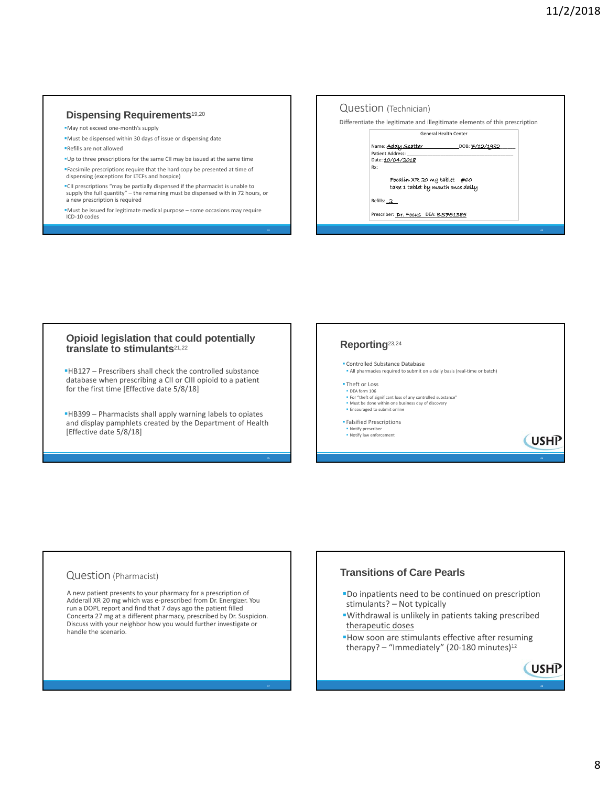**USHP** 

**USHP** 

### **Dispensing Requirements**19,20

May not exceed one‐month's supply

- Must be dispensed within 30 days of issue or dispensing date
- Refills are not allowed

Up to three prescriptions for the same CII may be issued at the same time Facsimile prescriptions require that the hard copy be presented at time of dispensing (exceptions for LTCFs and hospice)

CII prescriptions "may be partially dispensed if the pharmacist is unable to supply the full quantity" – the remaining must be dispensed with in 72 hours, or a new prescription is required

Must be issued for legitimate medical purpose – some occasions may require ICD‐10 codes



### **Opioid legislation that could potentially translate to stimulants**21,22

HB127 – Prescribers shall check the controlled substance database when prescribing a CII or CIII opioid to a patient for the first time [Effective date 5/8/18]

HB399 – Pharmacists shall apply warning labels to opiates and display pamphlets created by the Department of Health [Effective date 5/8/18]



- For "theft of significant loss of any controlled substance" Must be done within one business day of discovery Encouraged to submit online
- 

Falsified Prescriptions

Notify prescriber Notify law enforcement

# Question (Pharmacist)

A new patient presents to your pharmacy for a prescription of Adderall XR 20 mg which was e‐prescribed from Dr. Energizer. You run a DOPL report and find that 7 days ago the patient filled Concerta 27 mg at a different pharmacy, prescribed by Dr. Suspicion. Discuss with your neighbor how you would further investigate or handle the scenario.

### **Transitions of Care Pearls**

- Do inpatients need to be continued on prescription stimulants? – Not typically
- Withdrawal is unlikely in patients taking prescribed therapeutic doses
- How soon are stimulants effective after resuming therapy? – "Immediately" (20-180 minutes) $12$